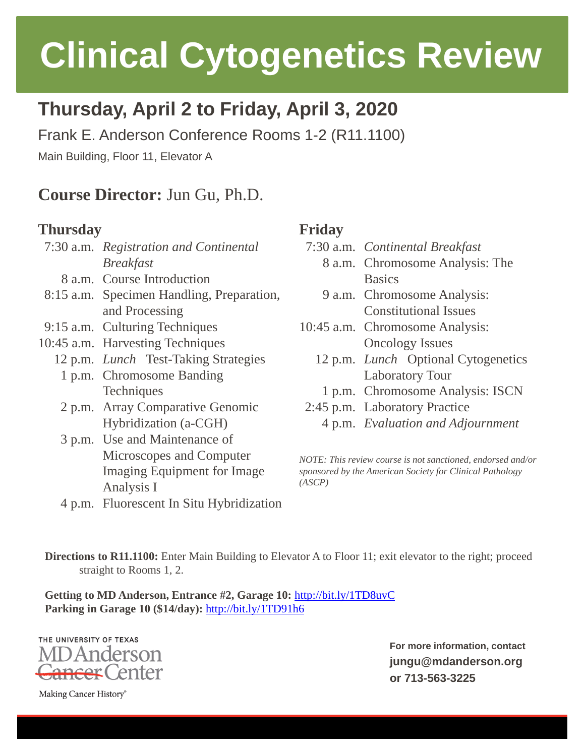# **Clinical Cytogenetics Review**

## **Thursday, April 2 to Friday, April 3, 2020**

Frank E. Anderson Conference Rooms 1-2 (R11.1100)

Main Building, Floor 11, Elevator A

### **Course Director:** Jun Gu, Ph.D.

#### **Thursday**

7:30 a.m. *Registration and Continental Breakfast* 8 a.m. Course Introduction 8:15 a.m. Specimen Handling, Preparation, and Processing 9:15 a.m. Culturing Techniques 10:45 a.m. Harvesting Techniques 12 p.m. *Lunch* Test-Taking Strategies 1 p.m. Chromosome Banding **Techniques** 2 p.m. Array Comparative Genomic Hybridization (a-CGH) 3 p.m. Use and Maintenance of Microscopes and Computer Imaging Equipment for Image Analysis I 4 p.m. Fluorescent In Situ Hybridization

#### **Friday**

- 7:30 a.m. *Continental Breakfast*
	- 8 a.m. Chromosome Analysis: The Basics
	- 9 a.m. Chromosome Analysis: Constitutional Issues
- 10:45 a.m. Chromosome Analysis: Oncology Issues
	- 12 p.m. *Lunch* Optional Cytogenetics Laboratory Tour
	- 1 p.m. Chromosome Analysis: ISCN
- 2:45 p.m. Laboratory Practice
	- 4 p.m. *Evaluation and Adjournment*

*NOTE: This review course is not sanctioned, endorsed and/or sponsored by the American Society for Clinical Pathology (ASCP)*

**Directions to R11.1100:** Enter Main Building to Elevator A to Floor 11; exit elevator to the right; proceed straight to Rooms 1, 2.

**Getting to MD Anderson, Entrance #2, Garage 10:** <http://bit.ly/1TD8uvC> **Parking in Garage 10 (\$14/day):** <http://bit.ly/1TD91h6>

THE UNIVERSITY OF TEXAS ) Anderson enter

**For more information, contact jungu@mdanderson.org or 713-563-3225**

Making Cancer History®